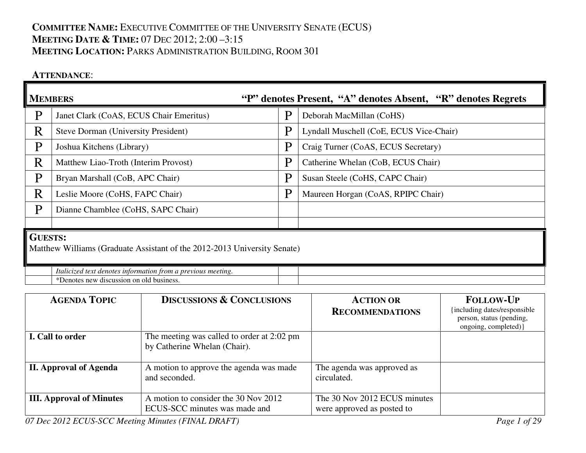# **COMMITTEE NAME:** <sup>E</sup>XECUTIVE COMMITTEE OF THE UNIVERSITY SENATE (ECUS) **MEETING DATE & <sup>T</sup>IME:** <sup>07</sup> <sup>D</sup>EC 2012; 2:00 –3:15 **MEETING LOCATION:** <sup>P</sup>ARKS ADMINISTRATION BUILDING, <sup>R</sup>OOM <sup>301</sup>

### **ATTENDANCE**:

| <b>MEMBERS</b> |                                                                          | "P" denotes Present, "A" denotes Absent, "R" denotes Regrets |                                         |  |  |  |
|----------------|--------------------------------------------------------------------------|--------------------------------------------------------------|-----------------------------------------|--|--|--|
| $\mathbf{P}$   | Janet Clark (CoAS, ECUS Chair Emeritus)                                  | P                                                            | Deborah MacMillan (CoHS)                |  |  |  |
| R              | <b>Steve Dorman (University President)</b>                               | P                                                            | Lyndall Muschell (CoE, ECUS Vice-Chair) |  |  |  |
| P              | Joshua Kitchens (Library)                                                | P                                                            | Craig Turner (CoAS, ECUS Secretary)     |  |  |  |
| R              | Matthew Liao-Troth (Interim Provost)                                     | P                                                            | Catherine Whelan (CoB, ECUS Chair)      |  |  |  |
| P              | Bryan Marshall (CoB, APC Chair)                                          | P                                                            | Susan Steele (CoHS, CAPC Chair)         |  |  |  |
| R              | Leslie Moore (CoHS, FAPC Chair)                                          | P                                                            | Maureen Horgan (CoAS, RPIPC Chair)      |  |  |  |
| P              | Dianne Chamblee (CoHS, SAPC Chair)                                       |                                                              |                                         |  |  |  |
|                |                                                                          |                                                              |                                         |  |  |  |
|                | <b>GUESTS:</b>                                                           |                                                              |                                         |  |  |  |
|                | Matthew Williams (Graduate Assistant of the 2012-2013 University Senate) |                                                              |                                         |  |  |  |
|                | Italicized text denotes information from a previous meeting.             |                                                              |                                         |  |  |  |

\*Denotes new discussion on old business.

| <b>AGENDA TOPIC</b>             | <b>DISCUSSIONS &amp; CONCLUSIONS</b>                                       | <b>ACTION OR</b><br><b>RECOMMENDATIONS</b>                 | <b>FOLLOW-UP</b><br>{including dates/responsible<br>person, status (pending,<br>ongoing, completed) } |
|---------------------------------|----------------------------------------------------------------------------|------------------------------------------------------------|-------------------------------------------------------------------------------------------------------|
| I. Call to order                | The meeting was called to order at 2:02 pm<br>by Catherine Whelan (Chair). |                                                            |                                                                                                       |
| <b>II.</b> Approval of Agenda   | A motion to approve the agenda was made<br>and seconded.                   | The agenda was approved as<br>circulated.                  |                                                                                                       |
| <b>III.</b> Approval of Minutes | A motion to consider the 30 Nov 2012<br>ECUS-SCC minutes was made and      | The 30 Nov 2012 ECUS minutes<br>were approved as posted to |                                                                                                       |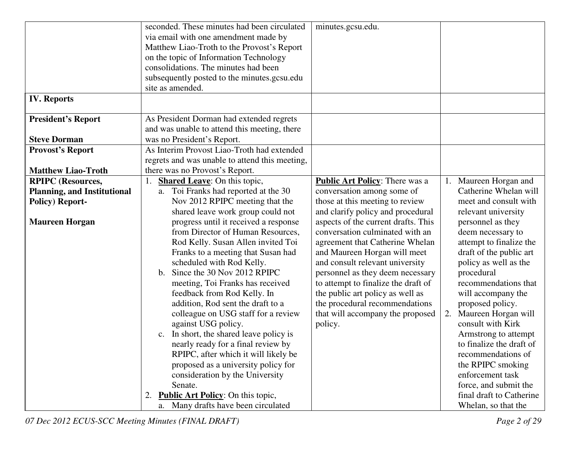|                                                              | seconded. These minutes had been circulated<br>via email with one amendment made by<br>Matthew Liao-Troth to the Provost's Report<br>on the topic of Information Technology<br>consolidations. The minutes had been<br>subsequently posted to the minutes.gcsu.edu                                                                                                                                                                                                                                                                                                                                                       | minutes.gcsu.edu.                                                                                                                                                                                                                                                                                                                                                            |                                                                                                                                                                                                                                                                                                                                                                                               |
|--------------------------------------------------------------|--------------------------------------------------------------------------------------------------------------------------------------------------------------------------------------------------------------------------------------------------------------------------------------------------------------------------------------------------------------------------------------------------------------------------------------------------------------------------------------------------------------------------------------------------------------------------------------------------------------------------|------------------------------------------------------------------------------------------------------------------------------------------------------------------------------------------------------------------------------------------------------------------------------------------------------------------------------------------------------------------------------|-----------------------------------------------------------------------------------------------------------------------------------------------------------------------------------------------------------------------------------------------------------------------------------------------------------------------------------------------------------------------------------------------|
|                                                              | site as amended.                                                                                                                                                                                                                                                                                                                                                                                                                                                                                                                                                                                                         |                                                                                                                                                                                                                                                                                                                                                                              |                                                                                                                                                                                                                                                                                                                                                                                               |
| <b>IV. Reports</b>                                           |                                                                                                                                                                                                                                                                                                                                                                                                                                                                                                                                                                                                                          |                                                                                                                                                                                                                                                                                                                                                                              |                                                                                                                                                                                                                                                                                                                                                                                               |
| <b>President's Report</b>                                    | As President Dorman had extended regrets                                                                                                                                                                                                                                                                                                                                                                                                                                                                                                                                                                                 |                                                                                                                                                                                                                                                                                                                                                                              |                                                                                                                                                                                                                                                                                                                                                                                               |
|                                                              | and was unable to attend this meeting, there                                                                                                                                                                                                                                                                                                                                                                                                                                                                                                                                                                             |                                                                                                                                                                                                                                                                                                                                                                              |                                                                                                                                                                                                                                                                                                                                                                                               |
| <b>Steve Dorman</b>                                          | was no President's Report.                                                                                                                                                                                                                                                                                                                                                                                                                                                                                                                                                                                               |                                                                                                                                                                                                                                                                                                                                                                              |                                                                                                                                                                                                                                                                                                                                                                                               |
| <b>Provost's Report</b>                                      | As Interim Provost Liao-Troth had extended                                                                                                                                                                                                                                                                                                                                                                                                                                                                                                                                                                               |                                                                                                                                                                                                                                                                                                                                                                              |                                                                                                                                                                                                                                                                                                                                                                                               |
|                                                              | regrets and was unable to attend this meeting,                                                                                                                                                                                                                                                                                                                                                                                                                                                                                                                                                                           |                                                                                                                                                                                                                                                                                                                                                                              |                                                                                                                                                                                                                                                                                                                                                                                               |
| <b>Matthew Liao-Troth</b>                                    | there was no Provost's Report.                                                                                                                                                                                                                                                                                                                                                                                                                                                                                                                                                                                           |                                                                                                                                                                                                                                                                                                                                                                              |                                                                                                                                                                                                                                                                                                                                                                                               |
| <b>RPIPC</b> (Resources,                                     | <b>Shared Leave:</b> On this topic,                                                                                                                                                                                                                                                                                                                                                                                                                                                                                                                                                                                      | <b>Public Art Policy:</b> There was a                                                                                                                                                                                                                                                                                                                                        | Maureen Horgan and                                                                                                                                                                                                                                                                                                                                                                            |
| <b>Planning, and Institutional</b><br><b>Policy) Report-</b> | a. Toi Franks had reported at the 30<br>Nov 2012 RPIPC meeting that the<br>shared leave work group could not                                                                                                                                                                                                                                                                                                                                                                                                                                                                                                             | conversation among some of<br>those at this meeting to review<br>and clarify policy and procedural                                                                                                                                                                                                                                                                           | Catherine Whelan will<br>meet and consult with<br>relevant university                                                                                                                                                                                                                                                                                                                         |
| <b>Maureen Horgan</b>                                        | progress until it received a response<br>from Director of Human Resources,<br>Rod Kelly. Susan Allen invited Toi<br>Franks to a meeting that Susan had<br>scheduled with Rod Kelly.<br>Since the 30 Nov 2012 RPIPC<br>$\mathbf{b}$ .<br>meeting, Toi Franks has received<br>feedback from Rod Kelly. In<br>addition, Rod sent the draft to a<br>colleague on USG staff for a review<br>against USG policy.<br>c. In short, the shared leave policy is<br>nearly ready for a final review by<br>RPIPC, after which it will likely be<br>proposed as a university policy for<br>consideration by the University<br>Senate. | aspects of the current drafts. This<br>conversation culminated with an<br>agreement that Catherine Whelan<br>and Maureen Horgan will meet<br>and consult relevant university<br>personnel as they deem necessary<br>to attempt to finalize the draft of<br>the public art policy as well as<br>the procedural recommendations<br>that will accompany the proposed<br>policy. | personnel as they<br>deem necessary to<br>attempt to finalize the<br>draft of the public art<br>policy as well as the<br>procedural<br>recommendations that<br>will accompany the<br>proposed policy.<br>Maureen Horgan will<br>consult with Kirk<br>Armstrong to attempt<br>to finalize the draft of<br>recommendations of<br>the RPIPC smoking<br>enforcement task<br>force, and submit the |
|                                                              | <b>Public Art Policy:</b> On this topic,<br>2.<br>a. Many drafts have been circulated                                                                                                                                                                                                                                                                                                                                                                                                                                                                                                                                    |                                                                                                                                                                                                                                                                                                                                                                              | final draft to Catherine<br>Whelan, so that the                                                                                                                                                                                                                                                                                                                                               |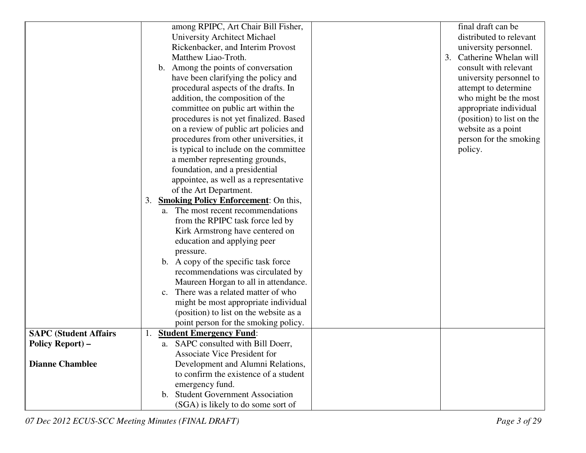|                              | among RPIPC, Art Chair Bill Fisher,               | final draft can be          |
|------------------------------|---------------------------------------------------|-----------------------------|
|                              | University Architect Michael                      | distributed to relevant     |
|                              | Rickenbacker, and Interim Provost                 | university personnel.       |
|                              | Matthew Liao-Troth.                               | Catherine Whelan will<br>3. |
|                              | b. Among the points of conversation               | consult with relevant       |
|                              | have been clarifying the policy and               | university personnel to     |
|                              | procedural aspects of the drafts. In              | attempt to determine        |
|                              | addition, the composition of the                  | who might be the most       |
|                              | committee on public art within the                | appropriate individual      |
|                              | procedures is not yet finalized. Based            | (position) to list on the   |
|                              | on a review of public art policies and            | website as a point          |
|                              | procedures from other universities, it            | person for the smoking      |
|                              | is typical to include on the committee            | policy.                     |
|                              | a member representing grounds,                    |                             |
|                              | foundation, and a presidential                    |                             |
|                              | appointee, as well as a representative            |                             |
|                              | of the Art Department.                            |                             |
|                              | <b>Smoking Policy Enforcement:</b> On this,<br>3. |                             |
|                              | a. The most recent recommendations                |                             |
|                              | from the RPIPC task force led by                  |                             |
|                              | Kirk Armstrong have centered on                   |                             |
|                              | education and applying peer                       |                             |
|                              | pressure.                                         |                             |
|                              | b. A copy of the specific task force              |                             |
|                              | recommendations was circulated by                 |                             |
|                              | Maureen Horgan to all in attendance.              |                             |
|                              | There was a related matter of who<br>$c_{\cdot}$  |                             |
|                              | might be most appropriate individual              |                             |
|                              | (position) to list on the website as a            |                             |
|                              | point person for the smoking policy.              |                             |
| <b>SAPC (Student Affairs</b> | <b>Student Emergency Fund:</b>                    |                             |
| <b>Policy Report) –</b>      | a. SAPC consulted with Bill Doerr,                |                             |
|                              | Associate Vice President for                      |                             |
| <b>Dianne Chamblee</b>       | Development and Alumni Relations,                 |                             |
|                              | to confirm the existence of a student             |                             |
|                              | emergency fund.                                   |                             |
|                              | <b>Student Government Association</b><br>b.       |                             |
|                              | (SGA) is likely to do some sort of                |                             |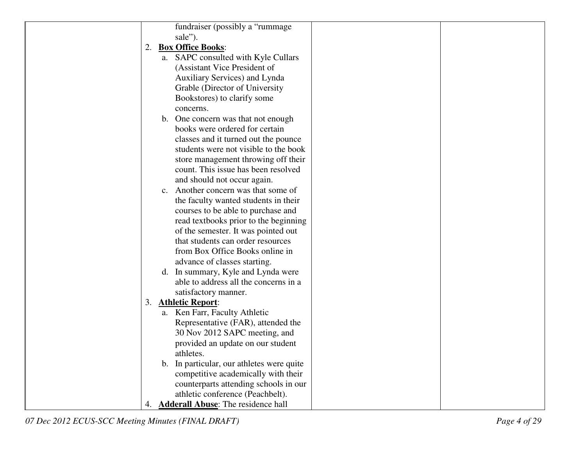|    |                | fundraiser (possibly a "rummage"       |  |
|----|----------------|----------------------------------------|--|
|    |                | sale").                                |  |
| 2. |                | <b>Box Office Books:</b>               |  |
|    |                | a. SAPC consulted with Kyle Cullars    |  |
|    |                | (Assistant Vice President of           |  |
|    |                | Auxiliary Services) and Lynda          |  |
|    |                | Grable (Director of University         |  |
|    |                | Bookstores) to clarify some            |  |
|    |                | concerns.                              |  |
|    |                | b. One concern was that not enough     |  |
|    |                | books were ordered for certain         |  |
|    |                | classes and it turned out the pounce   |  |
|    |                | students were not visible to the book  |  |
|    |                | store management throwing off their    |  |
|    |                | count. This issue has been resolved    |  |
|    |                | and should not occur again.            |  |
|    | $\mathbf{c}$ . | Another concern was that some of       |  |
|    |                | the faculty wanted students in their   |  |
|    |                | courses to be able to purchase and     |  |
|    |                | read textbooks prior to the beginning  |  |
|    |                | of the semester. It was pointed out    |  |
|    |                | that students can order resources      |  |
|    |                | from Box Office Books online in        |  |
|    |                | advance of classes starting.           |  |
|    |                | d. In summary, Kyle and Lynda were     |  |
|    |                | able to address all the concerns in a  |  |
|    |                | satisfactory manner.                   |  |
| 3. |                | <b>Athletic Report:</b>                |  |
|    |                | a. Ken Farr, Faculty Athletic          |  |
|    |                | Representative (FAR), attended the     |  |
|    |                | 30 Nov 2012 SAPC meeting, and          |  |
|    |                | provided an update on our student      |  |
|    |                | athletes.                              |  |
|    | $\mathbf{b}$ . | In particular, our athletes were quite |  |
|    |                | competitive academically with their    |  |
|    |                | counterparts attending schools in our  |  |
|    |                | athletic conference (Peachbelt).       |  |
|    |                | 4. Adderall Abuse: The residence hall  |  |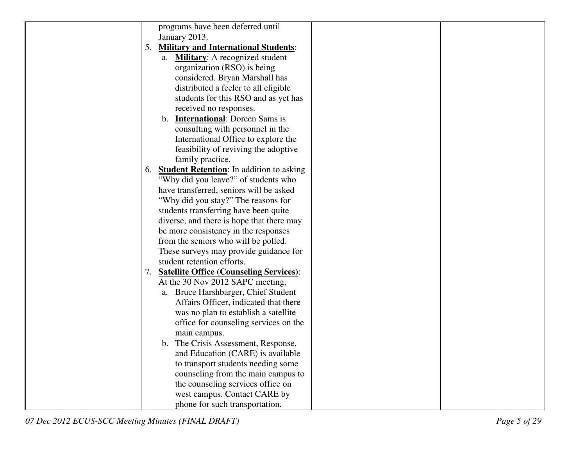|    | programs have been deferred until                      |  |
|----|--------------------------------------------------------|--|
|    | January 2013.                                          |  |
| 5. | <b>Military and International Students:</b>            |  |
|    | <b>Military:</b> A recognized student<br>а.            |  |
|    | organization (RSO) is being                            |  |
|    | considered. Bryan Marshall has                         |  |
|    | distributed a feeler to all eligible                   |  |
|    | students for this RSO and as yet has                   |  |
|    | received no responses.                                 |  |
|    | <b>International:</b> Doreen Sams is<br>$\mathbf{b}$ . |  |
|    | consulting with personnel in the                       |  |
|    | International Office to explore the                    |  |
|    | feasibility of reviving the adoptive                   |  |
|    | family practice.                                       |  |
|    | 6. Student Retention: In addition to asking            |  |
|    | "Why did you leave?" of students who                   |  |
|    | have transferred, seniors will be asked                |  |
|    | "Why did you stay?" The reasons for                    |  |
|    | students transferring have been quite                  |  |
|    | diverse, and there is hope that there may              |  |
|    | be more consistency in the responses                   |  |
|    | from the seniors who will be polled.                   |  |
|    | These surveys may provide guidance for                 |  |
|    | student retention efforts.                             |  |
|    | 7. Satellite Office (Counseling Services):             |  |
|    | At the 30 Nov 2012 SAPC meeting,                       |  |
|    | a. Bruce Harshbarger, Chief Student                    |  |
|    | Affairs Officer, indicated that there                  |  |
|    | was no plan to establish a satellite                   |  |
|    | office for counseling services on the                  |  |
|    | main campus.                                           |  |
|    | b. The Crisis Assessment, Response,                    |  |
|    | and Education (CARE) is available                      |  |
|    | to transport students needing some                     |  |
|    | counseling from the main campus to                     |  |
|    | the counseling services office on                      |  |
|    | west campus. Contact CARE by                           |  |
|    | phone for such transportation.                         |  |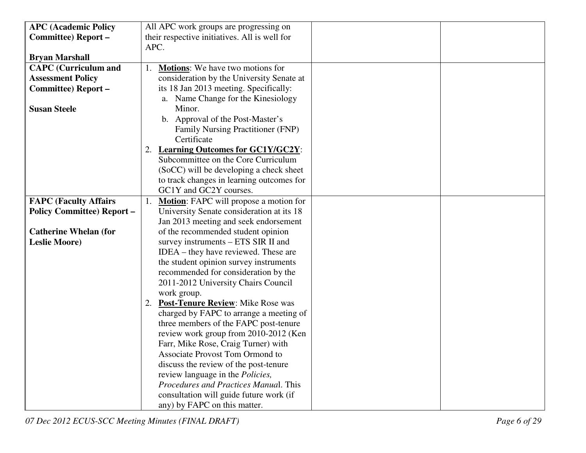| <b>APC (Academic Policy</b>      | All APC work groups are progressing on        |
|----------------------------------|-----------------------------------------------|
| Committee) Report-               | their respective initiatives. All is well for |
|                                  | APC.                                          |
| <b>Bryan Marshall</b>            |                                               |
| <b>CAPC</b> (Curriculum and      | <b>Motions:</b> We have two motions for       |
| <b>Assessment Policy</b>         | consideration by the University Senate at     |
| <b>Committee)</b> Report -       | its 18 Jan 2013 meeting. Specifically:        |
|                                  | a. Name Change for the Kinesiology            |
| <b>Susan Steele</b>              | Minor.                                        |
|                                  | b. Approval of the Post-Master's              |
|                                  | Family Nursing Practitioner (FNP)             |
|                                  | Certificate                                   |
|                                  | 2. Learning Outcomes for GC1Y/GC2Y:           |
|                                  | Subcommittee on the Core Curriculum           |
|                                  | (SoCC) will be developing a check sheet       |
|                                  | to track changes in learning outcomes for     |
|                                  | GC1Y and GC2Y courses.                        |
| <b>FAPC (Faculty Affairs</b>     | <b>Motion:</b> FAPC will propose a motion for |
| <b>Policy Committee) Report-</b> | University Senate consideration at its 18     |
|                                  | Jan 2013 meeting and seek endorsement         |
| <b>Catherine Whelan (for</b>     | of the recommended student opinion            |
| <b>Leslie Moore)</b>             | survey instruments - ETS SIR II and           |
|                                  | IDEA – they have reviewed. These are          |
|                                  | the student opinion survey instruments        |
|                                  | recommended for consideration by the          |
|                                  | 2011-2012 University Chairs Council           |
|                                  | work group.                                   |
|                                  | 2. Post-Tenure Review: Mike Rose was          |
|                                  | charged by FAPC to arrange a meeting of       |
|                                  | three members of the FAPC post-tenure         |
|                                  | review work group from 2010-2012 (Ken         |
|                                  | Farr, Mike Rose, Craig Turner) with           |
|                                  | Associate Provost Tom Ormond to               |
|                                  | discuss the review of the post-tenure         |
|                                  | review language in the Policies,              |
|                                  | Procedures and Practices Manual. This         |
|                                  | consultation will guide future work (if       |
|                                  | any) by FAPC on this matter.                  |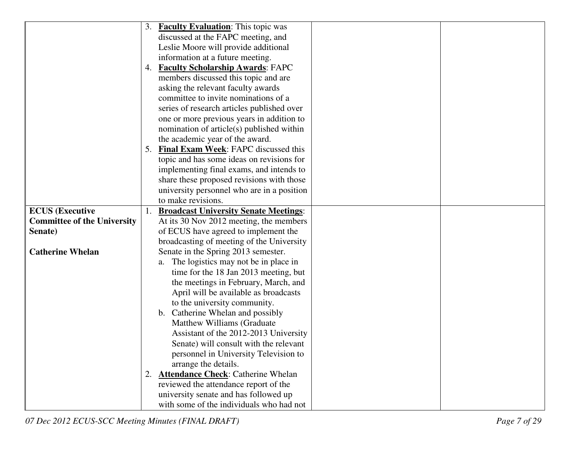|                                    | 3. | <b>Faculty Evaluation:</b> This topic was    |  |
|------------------------------------|----|----------------------------------------------|--|
|                                    |    | discussed at the FAPC meeting, and           |  |
|                                    |    | Leslie Moore will provide additional         |  |
|                                    |    | information at a future meeting.             |  |
|                                    |    | 4. Faculty Scholarship Awards: FAPC          |  |
|                                    |    | members discussed this topic and are         |  |
|                                    |    | asking the relevant faculty awards           |  |
|                                    |    | committee to invite nominations of a         |  |
|                                    |    | series of research articles published over   |  |
|                                    |    | one or more previous years in addition to    |  |
|                                    |    | nomination of article(s) published within    |  |
|                                    |    | the academic year of the award.              |  |
|                                    | 5. | <b>Final Exam Week:</b> FAPC discussed this  |  |
|                                    |    | topic and has some ideas on revisions for    |  |
|                                    |    | implementing final exams, and intends to     |  |
|                                    |    | share these proposed revisions with those    |  |
|                                    |    | university personnel who are in a position   |  |
|                                    |    | to make revisions.                           |  |
| <b>ECUS</b> (Executive             |    | <b>Broadcast University Senate Meetings:</b> |  |
| <b>Committee of the University</b> |    | At its 30 Nov 2012 meeting, the members      |  |
| Senate)                            |    | of ECUS have agreed to implement the         |  |
|                                    |    | broadcasting of meeting of the University    |  |
| <b>Catherine Whelan</b>            |    | Senate in the Spring 2013 semester.          |  |
|                                    |    | The logistics may not be in place in<br>a.   |  |
|                                    |    | time for the 18 Jan 2013 meeting, but        |  |
|                                    |    | the meetings in February, March, and         |  |
|                                    |    | April will be available as broadcasts        |  |
|                                    |    | to the university community.                 |  |
|                                    |    | b. Catherine Whelan and possibly             |  |
|                                    |    | Matthew Williams (Graduate                   |  |
|                                    |    | Assistant of the 2012-2013 University        |  |
|                                    |    | Senate) will consult with the relevant       |  |
|                                    |    | personnel in University Television to        |  |
|                                    |    | arrange the details.                         |  |
|                                    |    | 2. Attendance Check: Catherine Whelan        |  |
|                                    |    | reviewed the attendance report of the        |  |
|                                    |    | university senate and has followed up        |  |
|                                    |    | with some of the individuals who had not     |  |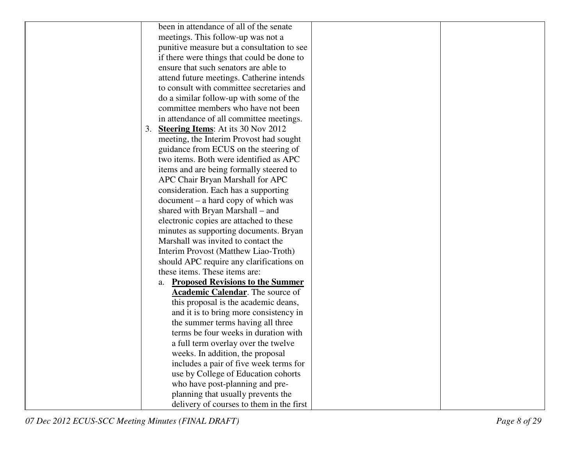| been in attendance of all of the senate         |
|-------------------------------------------------|
| meetings. This follow-up was not a              |
| punitive measure but a consultation to see      |
| if there were things that could be done to      |
| ensure that such senators are able to           |
| attend future meetings. Catherine intends       |
| to consult with committee secretaries and       |
| do a similar follow-up with some of the         |
| committee members who have not been             |
| in attendance of all committee meetings.        |
| <b>Steering Items:</b> At its 30 Nov 2012<br>3. |
| meeting, the Interim Provost had sought         |
| guidance from ECUS on the steering of           |
| two items. Both were identified as APC          |
| items and are being formally steered to         |
| APC Chair Bryan Marshall for APC                |
| consideration. Each has a supporting            |
| $document - a hard copy of which was$           |
| shared with Bryan Marshall – and                |
| electronic copies are attached to these         |
| minutes as supporting documents. Bryan          |
| Marshall was invited to contact the             |
| Interim Provost (Matthew Liao-Troth)            |
| should APC require any clarifications on        |
| these items. These items are:                   |
| a. Proposed Revisions to the Summer             |
| <b>Academic Calendar</b> . The source of        |
| this proposal is the academic deans,            |
| and it is to bring more consistency in          |
| the summer terms having all three               |
| terms be four weeks in duration with            |
| a full term overlay over the twelve             |
| weeks. In addition, the proposal                |
| includes a pair of five week terms for          |
| use by College of Education cohorts             |
| who have post-planning and pre-                 |
| planning that usually prevents the              |
| delivery of courses to them in the first        |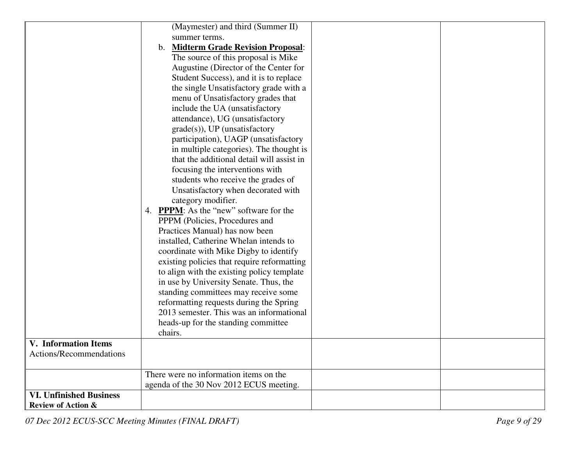|                                | (Maymester) and third (Summer II)              |  |
|--------------------------------|------------------------------------------------|--|
|                                |                                                |  |
|                                | summer terms.                                  |  |
|                                | <b>Midterm Grade Revision Proposal:</b><br>b.  |  |
|                                | The source of this proposal is Mike            |  |
|                                | Augustine (Director of the Center for          |  |
|                                | Student Success), and it is to replace         |  |
|                                | the single Unsatisfactory grade with a         |  |
|                                | menu of Unsatisfactory grades that             |  |
|                                | include the UA (unsatisfactory                 |  |
|                                | attendance), UG (unsatisfactory                |  |
|                                | $grade(s)$ ), UP (unsatisfactory               |  |
|                                | participation), UAGP (unsatisfactory           |  |
|                                | in multiple categories). The thought is        |  |
|                                | that the additional detail will assist in      |  |
|                                | focusing the interventions with                |  |
|                                | students who receive the grades of             |  |
|                                | Unsatisfactory when decorated with             |  |
|                                | category modifier.                             |  |
|                                | 4. <b>PPPM</b> : As the "new" software for the |  |
|                                | PPPM (Policies, Procedures and                 |  |
|                                | Practices Manual) has now been                 |  |
|                                | installed, Catherine Whelan intends to         |  |
|                                | coordinate with Mike Digby to identify         |  |
|                                | existing policies that require reformatting    |  |
|                                | to align with the existing policy template     |  |
|                                | in use by University Senate. Thus, the         |  |
|                                |                                                |  |
|                                | standing committees may receive some           |  |
|                                | reformatting requests during the Spring        |  |
|                                | 2013 semester. This was an informational       |  |
|                                | heads-up for the standing committee            |  |
|                                | chairs.                                        |  |
| <b>V.</b> Information Items    |                                                |  |
| Actions/Recommendations        |                                                |  |
|                                |                                                |  |
|                                | There were no information items on the         |  |
|                                | agenda of the 30 Nov 2012 ECUS meeting.        |  |
| <b>VI. Unfinished Business</b> |                                                |  |
| <b>Review of Action &amp;</b>  |                                                |  |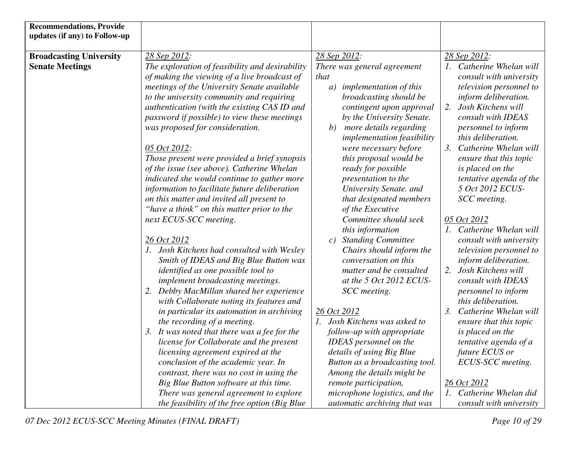| <b>Recommendations, Provide</b> |                                                 |                                   |                                           |
|---------------------------------|-------------------------------------------------|-----------------------------------|-------------------------------------------|
| updates (if any) to Follow-up   |                                                 |                                   |                                           |
|                                 |                                                 |                                   |                                           |
| <b>Broadcasting University</b>  | 28 Sep 2012:                                    | 28 Sep 2012:                      | 28 Sep 2012:                              |
| <b>Senate Meetings</b>          | The exploration of feasibility and desirability | There was general agreement       | 1. Catherine Whelan will                  |
|                                 | of making the viewing of a live broadcast of    | that                              | consult with university                   |
|                                 | meetings of the University Senate available     | a) implementation of this         | television personnel to                   |
|                                 | to the university community and requiring       | broadcasting should be            | inform deliberation.                      |
|                                 | authentication (with the existing CAS ID and    | contingent upon approval          | 2.<br>Josh Kitchens will                  |
|                                 | password if possible) to view these meetings    | by the University Senate.         | consult with IDEAS                        |
|                                 | was proposed for consideration.                 | b) more details regarding         | personnel to inform                       |
|                                 |                                                 | <i>implementation feasibility</i> | this deliberation.                        |
|                                 | 05 Oct 2012:                                    | were necessary before             | 3. Catherine Whelan will                  |
|                                 | Those present were provided a brief synopsis    | this proposal would be            | ensure that this topic                    |
|                                 | of the issue (see above). Catherine Whelan      | ready for possible                | is placed on the                          |
|                                 | indicated she would continue to gather more     | presentation to the               | tentative agenda of the                   |
|                                 | information to facilitate future deliberation   | University Senate. and            | 5 Oct 2012 ECUS-                          |
|                                 | on this matter and invited all present to       | that designated members           | SCC meeting.                              |
|                                 | "have a think" on this matter prior to the      | of the Executive                  |                                           |
|                                 | next ECUS-SCC meeting.                          | Committee should seek             | 05 Oct 2012                               |
|                                 |                                                 | this information                  | 1. Catherine Whelan will                  |
|                                 | 26 Oct 2012                                     | <b>Standing Committee</b><br>c)   | consult with university                   |
|                                 | 1. Josh Kitchens had consulted with Wesley      | Chairs should inform the          | television personnel to                   |
|                                 | Smith of IDEAS and Big Blue Button was          | conversation on this              | inform deliberation.                      |
|                                 | identified as one possible tool to              | matter and be consulted           | 2.<br>Josh Kitchens will                  |
|                                 | implement broadcasting meetings.                | at the 5 Oct 2012 ECUS-           | consult with IDEAS                        |
|                                 | 2. Debby MacMillan shared her experience        | SCC meeting.                      | personnel to inform                       |
|                                 | with Collaborate noting its features and        |                                   | this deliberation.                        |
|                                 | in particular its automation in archiving       | 26 Oct 2012                       | Catherine Whelan will<br>$\mathfrak{Z}$ . |
|                                 | the recording of a meeting.                     | 1. Josh Kitchens was asked to     | ensure that this topic                    |
|                                 | 3. It was noted that there was a fee for the    | follow-up with appropriate        | is placed on the                          |
|                                 | license for Collaborate and the present         | <b>IDEAS</b> personnel on the     | tentative agenda of a                     |
|                                 | licensing agreement expired at the              | details of using Big Blue         | future ECUS or                            |
|                                 | conclusion of the academic year. In             | Button as a broadcasting tool.    | ECUS-SCC meeting.                         |
|                                 | contrast, there was no cost in using the        | Among the details might be        |                                           |
|                                 | Big Blue Button software at this time.          | remote participation,             | 26 Oct 2012                               |
|                                 | There was general agreement to explore          | microphone logistics, and the     | 1. Catherine Whelan did                   |
|                                 | the feasibility of the free option (Big Blue    | automatic archiving that was      | consult with university                   |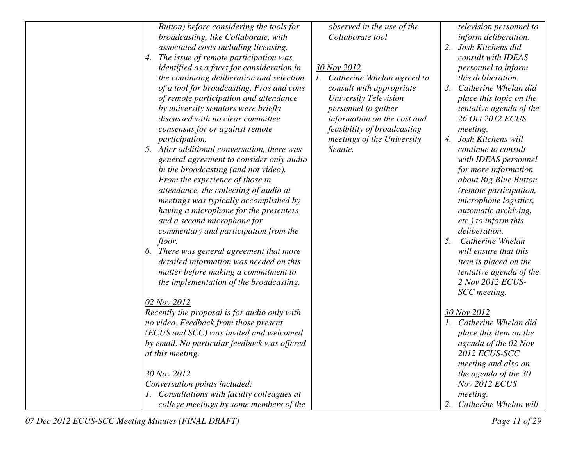| Button) before considering the tools for                                      | observed in the use of the<br>Collaborate tool |    | television personnel to                   |
|-------------------------------------------------------------------------------|------------------------------------------------|----|-------------------------------------------|
| broadcasting, like Collaborate, with<br>associated costs including licensing. |                                                | 2. | inform deliberation.<br>Josh Kitchens did |
| The issue of remote participation was<br>4.                                   |                                                |    | consult with IDEAS                        |
| identified as a facet for consideration in                                    | 30 Nov 2012                                    |    | personnel to inform                       |
| the continuing deliberation and selection                                     | 1. Catherine Whelan agreed to                  |    | this deliberation.                        |
| of a tool for broadcasting. Pros and cons                                     | consult with appropriate                       |    | 3. Catherine Whelan did                   |
| of remote participation and attendance                                        | University Television                          |    | place this topic on the                   |
| by university senators were briefly                                           | personnel to gather                            |    | tentative agenda of the                   |
| discussed with no clear committee                                             | information on the cost and                    |    | 26 Oct 2012 ECUS                          |
| consensus for or against remote                                               | feasibility of broadcasting                    |    | meeting.                                  |
| participation.                                                                | meetings of the University                     | 4. | Josh Kitchens will                        |
| 5. After additional conversation, there was                                   | Senate.                                        |    | continue to consult                       |
| general agreement to consider only audio                                      |                                                |    | with IDEAS personnel                      |
| in the broadcasting (and not video).                                          |                                                |    | for more information                      |
| From the experience of those in                                               |                                                |    | about Big Blue Button                     |
| attendance, the collecting of audio at                                        |                                                |    | (remote participation,                    |
| meetings was typically accomplished by                                        |                                                |    | microphone logistics,                     |
| having a microphone for the presenters                                        |                                                |    | automatic archiving,                      |
| and a second microphone for                                                   |                                                |    | etc.) to inform this                      |
| commentary and participation from the                                         |                                                |    | deliberation.                             |
| floor.                                                                        |                                                | 5. | Catherine Whelan                          |
| 6. There was general agreement that more                                      |                                                |    | will ensure that this                     |
| detailed information was needed on this                                       |                                                |    | item is placed on the                     |
| matter before making a commitment to                                          |                                                |    | tentative agenda of the                   |
| the implementation of the broadcasting.                                       |                                                |    | 2 Nov 2012 ECUS-                          |
|                                                                               |                                                |    | SCC meeting.                              |
| 02 Nov 2012                                                                   |                                                |    |                                           |
| Recently the proposal is for audio only with                                  |                                                |    | 30 Nov 2012                               |
| no video. Feedback from those present                                         |                                                |    | 1. Catherine Whelan did                   |
| (ECUS and SCC) was invited and welcomed                                       |                                                |    | place this item on the                    |
| by email. No particular feedback was offered                                  |                                                |    | agenda of the 02 Nov                      |
| at this meeting.                                                              |                                                |    | 2012 ECUS-SCC                             |
|                                                                               |                                                |    | meeting and also on                       |
| 30 Nov 2012                                                                   |                                                |    | the agenda of the 30                      |
| Conversation points included:                                                 |                                                |    | <b>Nov 2012 ECUS</b>                      |
| 1. Consultations with faculty colleagues at                                   |                                                |    | meeting.                                  |
| college meetings by some members of the                                       |                                                |    | Catherine Whelan will                     |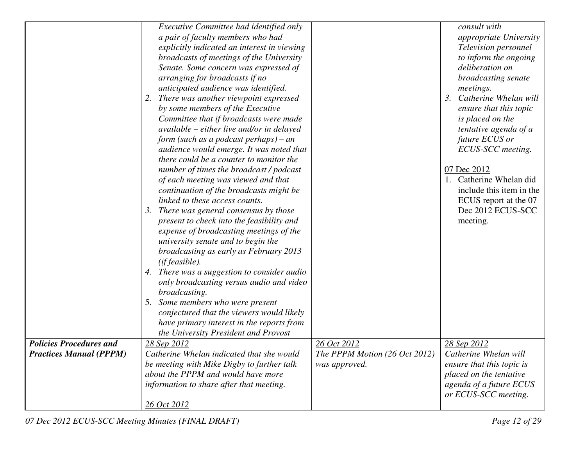|                                | Executive Committee had identified only     |                               | consult with                              |
|--------------------------------|---------------------------------------------|-------------------------------|-------------------------------------------|
|                                | a pair of faculty members who had           |                               | appropriate University                    |
|                                | explicitly indicated an interest in viewing |                               | Television personnel                      |
|                                | broadcasts of meetings of the University    |                               | to inform the ongoing                     |
|                                | Senate. Some concern was expressed of       |                               | deliberation on                           |
|                                | arranging for broadcasts if no              |                               | broadcasting senate                       |
|                                | anticipated audience was identified.        |                               | meetings.                                 |
|                                | There was another viewpoint expressed<br>2. |                               | Catherine Whelan will<br>$\mathfrak{Z}$ . |
|                                | by some members of the Executive            |                               | ensure that this topic                    |
|                                | Committee that if broadcasts were made      |                               | is placed on the                          |
|                                | available – either live and/or in delayed   |                               | tentative agenda of a                     |
|                                | form (such as a podcast perhaps) – an       |                               | future ECUS or                            |
|                                | audience would emerge. It was noted that    |                               | ECUS-SCC meeting.                         |
|                                | there could be a counter to monitor the     |                               |                                           |
|                                | number of times the broadcast / podcast     |                               | 07 Dec 2012                               |
|                                | of each meeting was viewed and that         |                               | 1. Catherine Whelan did                   |
|                                | continuation of the broadcasts might be     |                               | include this item in the                  |
|                                | linked to these access counts.              |                               | ECUS report at the 07                     |
|                                | There was general consensus by those<br>3.  |                               | Dec 2012 ECUS-SCC                         |
|                                | present to check into the feasibility and   |                               | meeting.                                  |
|                                | expense of broadcasting meetings of the     |                               |                                           |
|                                | university senate and to begin the          |                               |                                           |
|                                |                                             |                               |                                           |
|                                | broadcasting as early as February 2013      |                               |                                           |
|                                | (iffeasible).                               |                               |                                           |
|                                | 4. There was a suggestion to consider audio |                               |                                           |
|                                | only broadcasting versus audio and video    |                               |                                           |
|                                | broadcasting.                               |                               |                                           |
|                                | Some members who were present<br>5.         |                               |                                           |
|                                | conjectured that the viewers would likely   |                               |                                           |
|                                | have primary interest in the reports from   |                               |                                           |
|                                | the University President and Provost        |                               |                                           |
| <b>Policies Procedures and</b> | <u>28 Sep 2012</u>                          | 26 Oct 2012                   | 28 Sep 2012                               |
| <b>Practices Manual (PPPM)</b> | Catherine Whelan indicated that she would   | The PPPM Motion (26 Oct 2012) | Catherine Whelan will                     |
|                                | be meeting with Mike Digby to further talk  | was approved.                 | ensure that this topic is                 |
|                                | about the PPPM and would have more          |                               | placed on the tentative                   |
|                                | information to share after that meeting.    |                               | agenda of a future ECUS                   |
|                                |                                             |                               | or ECUS-SCC meeting.                      |
|                                | 26 Oct 2012                                 |                               |                                           |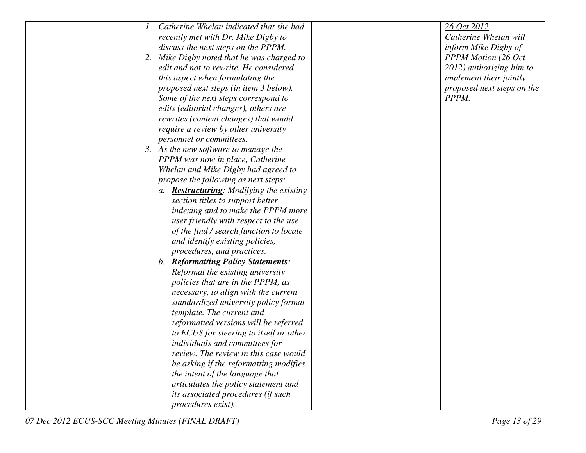|    | Catherine Whelan indicated that she had          | 26 Oct 2012                |
|----|--------------------------------------------------|----------------------------|
|    | recently met with Dr. Mike Digby to              | Catherine Whelan will      |
|    | discuss the next steps on the PPPM.              | inform Mike Digby of       |
| 2. | Mike Digby noted that he was charged to          | <b>PPPM Motion (26 Oct</b> |
|    | edit and not to rewrite. He considered           | 2012) authorizing him to   |
|    | this aspect when formulating the                 | implement their jointly    |
|    | proposed next steps (in item 3 below).           | proposed next steps on the |
|    | Some of the next steps correspond to             | PPPM.                      |
|    | edits (editorial changes), others are            |                            |
|    | rewrites (content changes) that would            |                            |
|    | require a review by other university             |                            |
|    | personnel or committees.                         |                            |
|    | 3. As the new software to manage the             |                            |
|    | PPPM was now in place, Catherine                 |                            |
|    | Whelan and Mike Digby had agreed to              |                            |
|    | propose the following as next steps:             |                            |
|    | a. <b>Restructuring</b> : Modifying the existing |                            |
|    | section titles to support better                 |                            |
|    | indexing and to make the PPPM more               |                            |
|    | user friendly with respect to the use            |                            |
|    | of the find / search function to locate          |                            |
|    | and identify existing policies,                  |                            |
|    | procedures, and practices.                       |                            |
|    | b. Reformatting Policy Statements:               |                            |
|    | Reformat the existing university                 |                            |
|    | policies that are in the PPPM, as                |                            |
|    | necessary, to align with the current             |                            |
|    | standardized university policy format            |                            |
|    | template. The current and                        |                            |
|    | reformatted versions will be referred            |                            |
|    | to ECUS for steering to itself or other          |                            |
|    | individuals and committees for                   |                            |
|    | <i>review. The review in this case would</i>     |                            |
|    | be asking if the reformatting modifies           |                            |
|    | the intent of the language that                  |                            |
|    | articulates the policy statement and             |                            |
|    | its associated procedures (if such               |                            |
|    | procedures exist).                               |                            |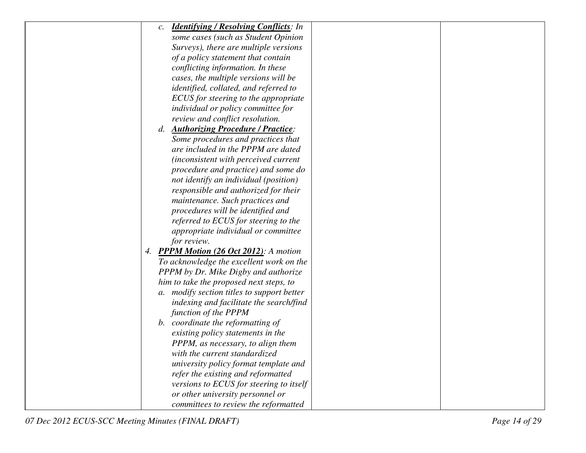| <b>Identifying / Resolving Conflicts:</b> In<br>$\mathcal{C}$ . |  |
|-----------------------------------------------------------------|--|
| some cases (such as Student Opinion                             |  |
| Surveys), there are multiple versions                           |  |
| of a policy statement that contain                              |  |
| conflicting information. In these                               |  |
| cases, the multiple versions will be                            |  |
| identified, collated, and referred to                           |  |
| ECUS for steering to the appropriate                            |  |
| individual or policy committee for                              |  |
| review and conflict resolution.                                 |  |
| <b>Authorizing Procedure / Practice:</b><br>d.                  |  |
| Some procedures and practices that                              |  |
| are included in the PPPM are dated                              |  |
| (inconsistent with perceived current                            |  |
| procedure and practice) and some do                             |  |
| not identify an individual (position)                           |  |
| responsible and authorized for their                            |  |
| maintenance. Such practices and                                 |  |
| procedures will be identified and                               |  |
| referred to ECUS for steering to the                            |  |
| appropriate individual or committee                             |  |
| for review.                                                     |  |
| 4. PPPM Motion (26 Oct 2012): A motion                          |  |
| To acknowledge the excellent work on the                        |  |
| PPPM by Dr. Mike Digby and authorize                            |  |
| him to take the proposed next steps, to                         |  |
| a. modify section titles to support better                      |  |
| indexing and facilitate the search/find                         |  |
| function of the PPPM                                            |  |
| b. coordinate the reformatting of                               |  |
| existing policy statements in the                               |  |
| PPPM, as necessary, to align them                               |  |
| with the current standardized                                   |  |
| university policy format template and                           |  |
| refer the existing and reformatted                              |  |
| versions to ECUS for steering to itself                         |  |
| or other university personnel or                                |  |
| committees to review the reformatted                            |  |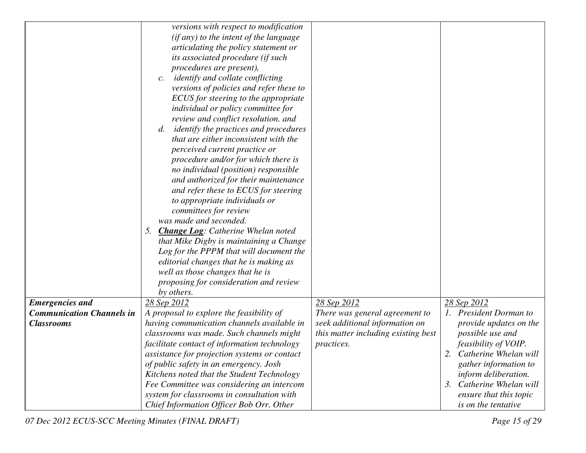|                                  | versions with respect to modification                      |                                     |                             |
|----------------------------------|------------------------------------------------------------|-------------------------------------|-----------------------------|
|                                  | (if any) to the intent of the language                     |                                     |                             |
|                                  | articulating the policy statement or                       |                                     |                             |
|                                  | its associated procedure (if such                          |                                     |                             |
|                                  | procedures are present),                                   |                                     |                             |
|                                  | <i>identify and collate conflicting</i><br>$\mathcal{C}$ . |                                     |                             |
|                                  | versions of policies and refer these to                    |                                     |                             |
|                                  | ECUS for steering to the appropriate                       |                                     |                             |
|                                  | individual or policy committee for                         |                                     |                             |
|                                  | review and conflict resolution. and                        |                                     |                             |
|                                  | <i>identify the practices and procedures</i><br>d.         |                                     |                             |
|                                  | that are either inconsistent with the                      |                                     |                             |
|                                  | perceived current practice or                              |                                     |                             |
|                                  | procedure and/or for which there is                        |                                     |                             |
|                                  | no individual (position) responsible                       |                                     |                             |
|                                  | and authorized for their maintenance                       |                                     |                             |
|                                  | and refer these to ECUS for steering                       |                                     |                             |
|                                  | to appropriate individuals or                              |                                     |                             |
|                                  | committees for review                                      |                                     |                             |
|                                  | was made and seconded.                                     |                                     |                             |
|                                  |                                                            |                                     |                             |
|                                  | 5.<br><b>Change Log:</b> Catherine Whelan noted            |                                     |                             |
|                                  | that Mike Digby is maintaining a Change                    |                                     |                             |
|                                  | Log for the PPPM that will document the                    |                                     |                             |
|                                  | editorial changes that he is making as                     |                                     |                             |
|                                  | well as those changes that he is                           |                                     |                             |
|                                  | proposing for consideration and review                     |                                     |                             |
|                                  | by others.                                                 |                                     |                             |
| <b>Emergencies</b> and           | 28 Sep 2012                                                | 28 Sep 2012                         | 28 Sep 2012                 |
| <b>Communication Channels in</b> | A proposal to explore the feasibility of                   | There was general agreement to      | 1. President Dorman to      |
| <b>Classrooms</b>                | having communication channels available in                 | seek additional information on      | provide updates on the      |
|                                  | classrooms was made. Such channels might                   | this matter including existing best | possible use and            |
|                                  | facilitate contact of information technology               | <i>practices.</i>                   | <i>feasibility of VOIP.</i> |
|                                  | assistance for projection systems or contact               |                                     | 2. Catherine Whelan will    |
|                                  | of public safety in an emergency. Josh                     |                                     | gather information to       |
|                                  | Kitchens noted that the Student Technology                 |                                     | inform deliberation.        |
|                                  | Fee Committee was considering an intercom                  |                                     | Catherine Whelan will<br>3. |
|                                  | system for classrooms in consultation with                 |                                     | ensure that this topic      |
|                                  | Chief Information Officer Bob Orr. Other                   |                                     | is on the tentative         |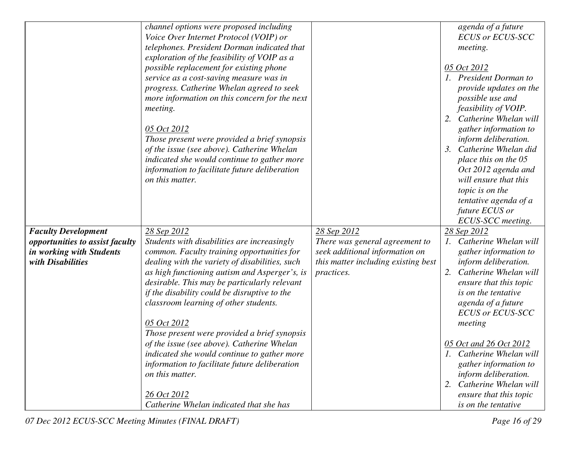|                                 | channel options were proposed including                |                                     | agenda of a future                            |
|---------------------------------|--------------------------------------------------------|-------------------------------------|-----------------------------------------------|
|                                 | Voice Over Internet Protocol (VOIP) or                 |                                     | <b>ECUS or ECUS-SCC</b>                       |
|                                 | telephones. President Dorman indicated that            |                                     | meeting.                                      |
|                                 | exploration of the feasibility of VOIP as a            |                                     |                                               |
|                                 | possible replacement for existing phone                |                                     | 05 Oct 2012                                   |
|                                 | service as a cost-saving measure was in                |                                     | 1. President Dorman to                        |
|                                 | progress. Catherine Whelan agreed to seek              |                                     | provide updates on the                        |
|                                 | more information on this concern for the next          |                                     | possible use and                              |
|                                 | meeting.                                               |                                     | feasibility of VOIP.                          |
|                                 |                                                        |                                     | Catherine Whelan will<br>2.                   |
|                                 | 05 Oct 2012                                            |                                     | gather information to                         |
|                                 | Those present were provided a brief synopsis           |                                     | inform deliberation.                          |
|                                 | of the issue (see above). Catherine Whelan             |                                     | Catherine Whelan did                          |
|                                 | indicated she would continue to gather more            |                                     | place this on the 05                          |
|                                 | information to facilitate future deliberation          |                                     | Oct 2012 agenda and                           |
|                                 | on this matter.                                        |                                     | will ensure that this                         |
|                                 |                                                        |                                     | topic is on the                               |
|                                 |                                                        |                                     | tentative agenda of a                         |
|                                 |                                                        |                                     | future ECUS or                                |
|                                 |                                                        |                                     | ECUS-SCC meeting.                             |
| <b>Faculty Development</b>      | 28 Sep 2012                                            | 28 Sep 2012                         | 28 Sep 2012                                   |
| opportunities to assist faculty | Students with disabilities are increasingly            | There was general agreement to      | 1. Catherine Whelan will                      |
| in working with Students        | common. Faculty training opportunities for             | seek additional information on      | gather information to                         |
| with Disabilities               | dealing with the variety of disabilities, such         | this matter including existing best | inform deliberation.                          |
|                                 | as high functioning autism and Asperger's, is          | <i>practices.</i>                   | Catherine Whelan will<br>2.                   |
|                                 | desirable. This may be particularly relevant           |                                     | ensure that this topic                        |
|                                 | if the disability could be disruptive to the           |                                     | is on the tentative                           |
|                                 | classroom learning of other students.                  |                                     | agenda of a future                            |
|                                 |                                                        |                                     | <b>ECUS or ECUS-SCC</b>                       |
|                                 | 05 Oct 2012                                            |                                     | meeting                                       |
|                                 | Those present were provided a brief synopsis           |                                     |                                               |
|                                 | of the issue (see above). Catherine Whelan             |                                     | 05 Oct and 26 Oct 2012                        |
|                                 | indicated she would continue to gather more            |                                     | 1. Catherine Whelan will                      |
|                                 | information to facilitate future deliberation          |                                     | <i>gather information to</i>                  |
|                                 | on this matter.                                        |                                     | inform deliberation.                          |
|                                 |                                                        |                                     | Catherine Whelan will<br>2.                   |
|                                 |                                                        |                                     |                                               |
|                                 | 26 Oct 2012<br>Catherine Whelan indicated that she has |                                     | ensure that this topic<br>is on the tentative |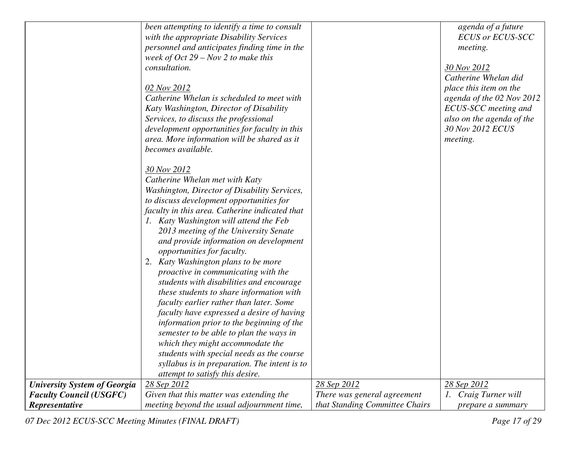|                                     | been attempting to identify a time to consult<br>with the appropriate Disability Services<br>personnel and anticipates finding time in the<br>week of $Oct 29 - Nov 2 to make this$<br>consultation.<br>02 Nov 2012<br>Catherine Whelan is scheduled to meet with<br>Katy Washington, Director of Disability<br>Services, to discuss the professional<br>development opportunities for faculty in this<br>area. More information will be shared as it<br>becomes available.                                                                                                                                                                                                                                                                                                                                                                   |                                | agenda of a future<br><b>ECUS or ECUS-SCC</b><br>meeting.<br>30 Nov 2012<br>Catherine Whelan did<br>place this item on the<br>agenda of the 02 Nov 2012<br>ECUS-SCC meeting and<br>also on the agenda of the<br>30 Nov 2012 ECUS<br>meeting. |
|-------------------------------------|-----------------------------------------------------------------------------------------------------------------------------------------------------------------------------------------------------------------------------------------------------------------------------------------------------------------------------------------------------------------------------------------------------------------------------------------------------------------------------------------------------------------------------------------------------------------------------------------------------------------------------------------------------------------------------------------------------------------------------------------------------------------------------------------------------------------------------------------------|--------------------------------|----------------------------------------------------------------------------------------------------------------------------------------------------------------------------------------------------------------------------------------------|
|                                     | 30 Nov 2012<br>Catherine Whelan met with Katy<br>Washington, Director of Disability Services,<br>to discuss development opportunities for<br>faculty in this area. Catherine indicated that<br>1. Katy Washington will attend the Feb<br>2013 meeting of the University Senate<br>and provide information on development<br>opportunities for faculty.<br>2. Katy Washington plans to be more<br>proactive in communicating with the<br>students with disabilities and encourage<br>these students to share information with<br>faculty earlier rather than later. Some<br>faculty have expressed a desire of having<br>information prior to the beginning of the<br>semester to be able to plan the ways in<br>which they might accommodate the<br>students with special needs as the course<br>syllabus is in preparation. The intent is to |                                |                                                                                                                                                                                                                                              |
| <b>University System of Georgia</b> | attempt to satisfy this desire.<br>28 Sep 2012                                                                                                                                                                                                                                                                                                                                                                                                                                                                                                                                                                                                                                                                                                                                                                                                | 28 Sep 2012                    | 28 Sep 2012                                                                                                                                                                                                                                  |
| <b>Faculty Council (USGFC)</b>      | Given that this matter was extending the                                                                                                                                                                                                                                                                                                                                                                                                                                                                                                                                                                                                                                                                                                                                                                                                      | There was general agreement    | 1. Craig Turner will                                                                                                                                                                                                                         |
| Representative                      | meeting beyond the usual adjournment time,                                                                                                                                                                                                                                                                                                                                                                                                                                                                                                                                                                                                                                                                                                                                                                                                    | that Standing Committee Chairs | prepare a summary                                                                                                                                                                                                                            |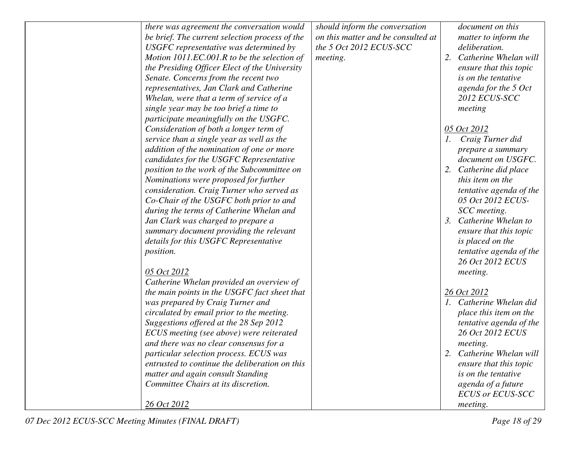| there was agreement the conversation would     | should inform the conversation     | document on this         |
|------------------------------------------------|------------------------------------|--------------------------|
| be brief. The current selection process of the | on this matter and be consulted at | matter to inform the     |
| USGFC representative was determined by         | the 5 Oct 2012 ECUS-SCC            | deliberation.            |
| Motion 1011.EC.001.R to be the selection of    | meeting.                           | 2. Catherine Whelan will |
| the Presiding Officer Elect of the University  |                                    | ensure that this topic   |
| Senate. Concerns from the recent two           |                                    | is on the tentative      |
| representatives, Jan Clark and Catherine       |                                    | agenda for the 5 Oct     |
| Whelan, were that a term of service of a       |                                    | 2012 ECUS-SCC            |
| single year may be too brief a time to         |                                    | meeting                  |
| participate meaningfully on the USGFC.         |                                    |                          |
| Consideration of both a longer term of         |                                    | 05 Oct 2012              |
| service than a single year as well as the      |                                    | 1. Craig Turner did      |
| addition of the nomination of one or more      |                                    | prepare a summary        |
| candidates for the USGFC Representative        |                                    | document on USGFC.       |
| position to the work of the Subcommittee on    |                                    | 2. Catherine did place   |
| Nominations were proposed for further          |                                    | this item on the         |
| consideration. Craig Turner who served as      |                                    | tentative agenda of the  |
| Co-Chair of the USGFC both prior to and        |                                    | 05 Oct 2012 ECUS-        |
| during the terms of Catherine Whelan and       |                                    | SCC meeting.             |
| Jan Clark was charged to prepare a             |                                    | 3. Catherine Whelan to   |
| summary document providing the relevant        |                                    | ensure that this topic   |
| details for this USGFC Representative          |                                    | is placed on the         |
| <i>position.</i>                               |                                    | tentative agenda of the  |
|                                                |                                    | 26 Oct 2012 ECUS         |
| 05 Oct 2012                                    |                                    | meeting.                 |
| Catherine Whelan provided an overview of       |                                    |                          |
| the main points in the USGFC fact sheet that   |                                    | 26 Oct 2012              |
| was prepared by Craig Turner and               |                                    | 1. Catherine Whelan did  |
| circulated by email prior to the meeting.      |                                    | place this item on the   |
| Suggestions offered at the 28 Sep 2012         |                                    | tentative agenda of the  |
| ECUS meeting (see above) were reiterated       |                                    | 26 Oct 2012 ECUS         |
| and there was no clear consensus for a         |                                    | meeting.                 |
| particular selection process. ECUS was         |                                    | 2. Catherine Whelan will |
| entrusted to continue the deliberation on this |                                    | ensure that this topic   |
| matter and again consult Standing              |                                    | is on the tentative      |
| Committee Chairs at its discretion.            |                                    | agenda of a future       |
|                                                |                                    | <b>ECUS or ECUS-SCC</b>  |
| 26 Oct 2012                                    |                                    | meeting.                 |
|                                                |                                    |                          |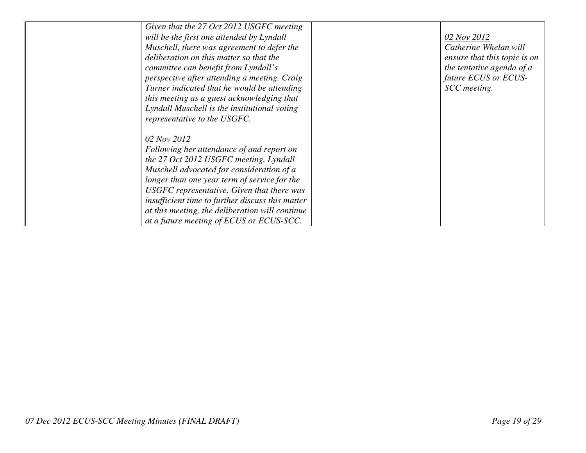| Given that the 27 Oct 2012 USGFC meeting         |                              |
|--------------------------------------------------|------------------------------|
| will be the first one attended by Lyndall        | 02 Nov 2012                  |
| Muschell, there was agreement to defer the       | Catherine Whelan will        |
| deliberation on this matter so that the          | ensure that this topic is on |
| committee can benefit from Lyndall's             | the tentative agenda of a    |
| perspective after attending a meeting. Craig     | future ECUS or ECUS-         |
| Turner indicated that he would be attending      | SCC meeting.                 |
| this meeting as a guest acknowledging that       |                              |
| Lyndall Muschell is the institutional voting     |                              |
| representative to the USGFC.                     |                              |
|                                                  |                              |
| 02 Nov 2012                                      |                              |
| Following her attendance of and report on        |                              |
| the 27 Oct 2012 USGFC meeting, Lyndall           |                              |
| Muschell advocated for consideration of a        |                              |
| longer than one year term of service for the     |                              |
| USGFC representative. Given that there was       |                              |
| insufficient time to further discuss this matter |                              |
| at this meeting, the deliberation will continue  |                              |
| at a future meeting of ECUS or ECUS-SCC.         |                              |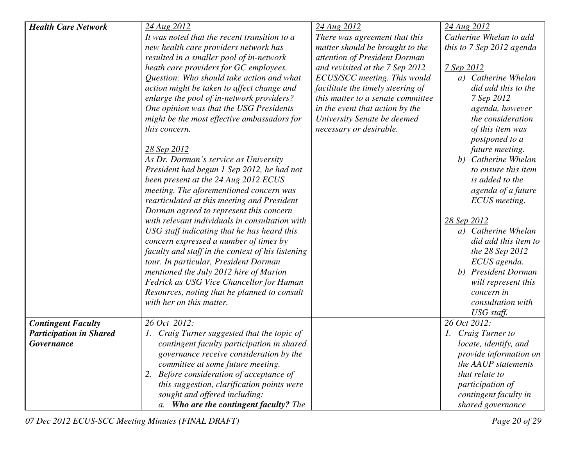| <b>Health Care Network</b>     | 24 Aug 2012                                       | 24 Aug 2012                       | 24 Aug 2012                   |
|--------------------------------|---------------------------------------------------|-----------------------------------|-------------------------------|
|                                | It was noted that the recent transition to a      | There was agreement that this     | Catherine Whelan to add       |
|                                | new health care providers network has             | matter should be brought to the   | this to 7 Sep 2012 agenda     |
|                                | resulted in a smaller pool of in-network          | attention of President Dorman     |                               |
|                                | heath care providers for GC employees.            | and revisited at the 7 Sep 2012   | 7 Sep 2012                    |
|                                | Question: Who should take action and what         | ECUS/SCC meeting. This would      | a) Catherine Whelan           |
|                                | action might be taken to affect change and        | facilitate the timely steering of | did add this to the           |
|                                | enlarge the pool of in-network providers?         | this matter to a senate committee | 7 Sep 2012                    |
|                                | One opinion was that the USG Presidents           | in the event that action by the   | agenda, however               |
|                                | might be the most effective ambassadors for       | University Senate be deemed       | the consideration             |
|                                | this concern.                                     | necessary or desirable.           | of this item was              |
|                                |                                                   |                                   | postponed to a                |
|                                | 28 Sep 2012                                       |                                   | future meeting.               |
|                                | As Dr. Dorman's service as University             |                                   | b) Catherine Whelan           |
|                                | President had begun 1 Sep 2012, he had not        |                                   | to ensure this item           |
|                                | been present at the 24 Aug 2012 ECUS              |                                   | is added to the               |
|                                | meeting. The aforementioned concern was           |                                   | agenda of a future            |
|                                | rearticulated at this meeting and President       |                                   | ECUS meeting.                 |
|                                | Dorman agreed to represent this concern           |                                   |                               |
|                                | with relevant individuals in consultation with    |                                   | 28 Sep 2012                   |
|                                | USG staff indicating that he has heard this       |                                   | a) Catherine Whelan           |
|                                | concern expressed a number of times by            |                                   | did add this item to          |
|                                | faculty and staff in the context of his listening |                                   | the 28 Sep 2012               |
|                                | tour. In particular, President Dorman             |                                   | ECUS agenda.                  |
|                                | mentioned the July 2012 hire of Marion            |                                   | b) President Dorman           |
|                                | Fedrick as USG Vice Chancellor for Human          |                                   | will represent this           |
|                                | Resources, noting that he planned to consult      |                                   | concern in                    |
|                                | with her on this matter.                          |                                   | consultation with             |
|                                |                                                   |                                   | USG staff.                    |
| <b>Contingent Faculty</b>      | 26 Oct 2012:                                      |                                   | 26 Oct 2012:                  |
| <b>Participation in Shared</b> | 1. Craig Turner suggested that the topic of       |                                   | 1. Craig Turner to            |
| <b>Governance</b>              | contingent faculty participation in shared        |                                   | locate, identify, and         |
|                                | governance receive consideration by the           |                                   | <i>provide information on</i> |
|                                | committee at some future meeting.                 |                                   | the AAUP statements           |
|                                | 2. Before consideration of acceptance of          |                                   | that relate to                |
|                                | this suggestion, clarification points were        |                                   | participation of              |
|                                | sought and offered including:                     |                                   | contingent faculty in         |
|                                | a. Who are the contingent faculty? The            |                                   | shared governance             |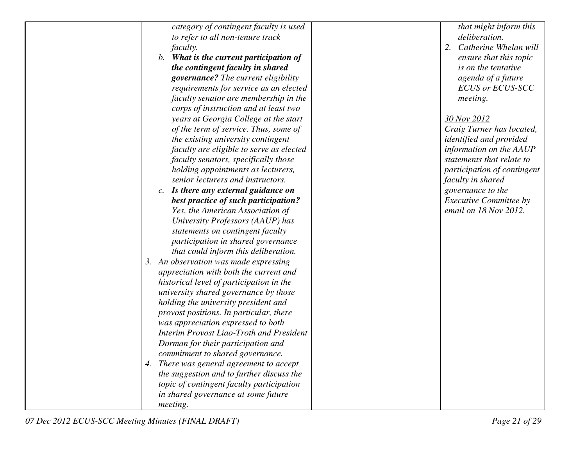| category of contingent faculty is used          | that might inform this         |
|-------------------------------------------------|--------------------------------|
| to refer to all non-tenure track                | deliberation.                  |
| faculty.                                        | 2.<br>Catherine Whelan will    |
| b. What is the current participation of         | ensure that this topic         |
| the contingent faculty in shared                | is on the tentative            |
| governance? The current eligibility             | agenda of a future             |
| requirements for service as an elected          | <b>ECUS or ECUS-SCC</b>        |
| faculty senator are membership in the           | <i>meeting.</i>                |
| corps of instruction and at least two           |                                |
| years at Georgia College at the start           | 30 Nov 2012                    |
| of the term of service. Thus, some of           | Craig Turner has located,      |
| the existing university contingent              | <i>identified and provided</i> |
| faculty are eligible to serve as elected        | information on the AAUP        |
| faculty senators, specifically those            | statements that relate to      |
| holding appointments as lecturers,              | participation of contingent    |
| senior lecturers and instructors.               | faculty in shared              |
| c. Is there any external guidance on            | governance to the              |
| best practice of such participation?            | Executive Committee by         |
| Yes, the American Association of                | email on 18 Nov 2012.          |
| University Professors (AAUP) has                |                                |
| statements on contingent faculty                |                                |
| participation in shared governance              |                                |
| that could inform this deliberation.            |                                |
| 3. An observation was made expressing           |                                |
| appreciation with both the current and          |                                |
| historical level of participation in the        |                                |
| university shared governance by those           |                                |
| holding the university president and            |                                |
| provost positions. In particular, there         |                                |
| was appreciation expressed to both              |                                |
| <b>Interim Provost Liao-Troth and President</b> |                                |
| Dorman for their participation and              |                                |
| commitment to shared governance.                |                                |
| 4. There was general agreement to accept        |                                |
| the suggestion and to further discuss the       |                                |
| topic of contingent faculty participation       |                                |
| in shared governance at some future             |                                |
| meeting.                                        |                                |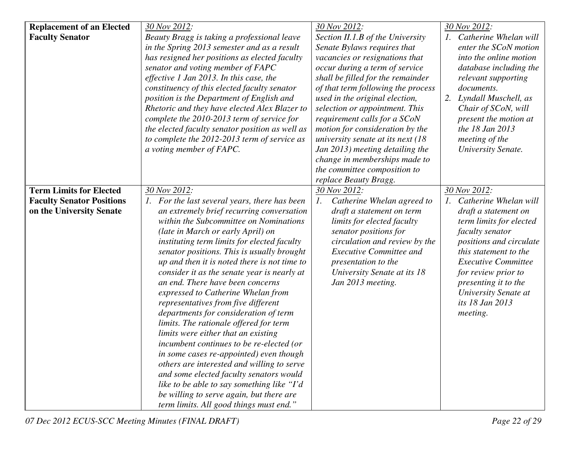| <b>Replacement of an Elected</b> | 30 Nov 2012:                                                                               | 30 Nov 2012:                                  | 30 Nov 2012:               |
|----------------------------------|--------------------------------------------------------------------------------------------|-----------------------------------------------|----------------------------|
| <b>Faculty Senator</b>           | Beauty Bragg is taking a professional leave                                                | Section II.1.B of the University              | 1. Catherine Whelan will   |
|                                  | in the Spring 2013 semester and as a result                                                | Senate Bylaws requires that                   | enter the SCoN motion      |
|                                  | has resigned her positions as elected faculty                                              | vacancies or resignations that                | into the online motion     |
|                                  | senator and voting member of FAPC                                                          | occur during a term of service                | database including the     |
|                                  | effective 1 Jan 2013. In this case, the                                                    | shall be filled for the remainder             | relevant supporting        |
|                                  | constituency of this elected faculty senator                                               | of that term following the process            | documents.                 |
|                                  | position is the Department of English and                                                  | used in the original election,                | 2.<br>Lyndall Muschell, as |
|                                  | Rhetoric and they have elected Alex Blazer to                                              | selection or appointment. This                | Chair of SCoN, will        |
|                                  | complete the 2010-2013 term of service for                                                 | requirement calls for a SCoN                  | present the motion at      |
|                                  | the elected faculty senator position as well as                                            | motion for consideration by the               | the 18 Jan 2013            |
|                                  | to complete the 2012-2013 term of service as                                               | university senate at its next $(18)$          | meeting of the             |
|                                  | a voting member of FAPC.                                                                   | Jan 2013) meeting detailing the               | University Senate.         |
|                                  |                                                                                            | change in memberships made to                 |                            |
|                                  |                                                                                            | the committee composition to                  |                            |
|                                  |                                                                                            | replace Beauty Bragg.                         |                            |
| <b>Term Limits for Elected</b>   | 30 Nov 2012:                                                                               | 30 Nov 2012:                                  | 30 Nov 2012:               |
| <b>Faculty Senator Positions</b> | 1. For the last several years, there has been                                              | $\mathfrak{1}.$<br>Catherine Whelan agreed to | 1. Catherine Whelan will   |
| on the University Senate         | an extremely brief recurring conversation                                                  | draft a statement on term                     | draft a statement on       |
|                                  | within the Subcommittee on Nominations                                                     | limits for elected faculty                    | term limits for elected    |
|                                  | (late in March or early April) on                                                          | senator positions for                         | faculty senator            |
|                                  | instituting term limits for elected faculty                                                | circulation and review by the                 | positions and circulate    |
|                                  |                                                                                            | <b>Executive Committee and</b>                | this statement to the      |
|                                  | senator positions. This is usually brought<br>up and then it is noted there is not time to |                                               | <b>Executive Committee</b> |
|                                  |                                                                                            | presentation to the                           |                            |
|                                  | consider it as the senate year is nearly at                                                | University Senate at its 18                   | for review prior to        |
|                                  | an end. There have been concerns                                                           | Jan 2013 meeting.                             | presenting it to the       |
|                                  | expressed to Catherine Whelan from                                                         |                                               | University Senate at       |
|                                  | representatives from five different                                                        |                                               | its 18 Jan 2013            |
|                                  | departments for consideration of term                                                      |                                               | meeting.                   |
|                                  | limits. The rationale offered for term                                                     |                                               |                            |
|                                  | limits were either that an existing                                                        |                                               |                            |
|                                  | incumbent continues to be re-elected (or                                                   |                                               |                            |
|                                  | in some cases re-appointed) even though                                                    |                                               |                            |
|                                  | others are interested and willing to serve                                                 |                                               |                            |
|                                  | and some elected faculty senators would                                                    |                                               |                            |
|                                  | like to be able to say something like "I'd"                                                |                                               |                            |
|                                  | be willing to serve again, but there are                                                   |                                               |                            |
|                                  | term limits. All good things must end."                                                    |                                               |                            |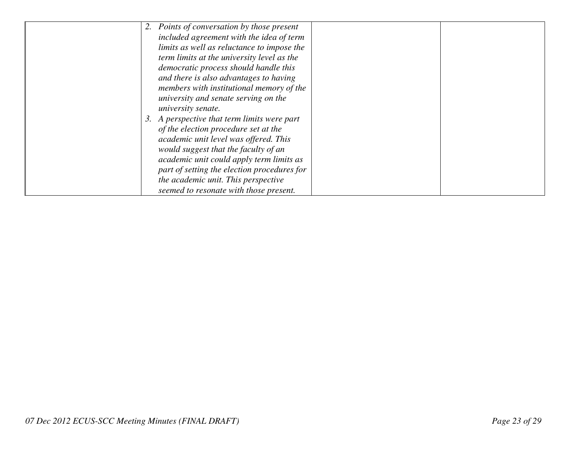|  | 2. Points of conversation by those present  |  |
|--|---------------------------------------------|--|
|  | included agreement with the idea of term    |  |
|  | limits as well as reluctance to impose the  |  |
|  | term limits at the university level as the  |  |
|  | democratic process should handle this       |  |
|  | and there is also advantages to having      |  |
|  | members with institutional memory of the    |  |
|  | university and senate serving on the        |  |
|  | university senate.                          |  |
|  | 3. A perspective that term limits were part |  |
|  | of the election procedure set at the        |  |
|  | academic unit level was offered. This       |  |
|  | would suggest that the faculty of an        |  |
|  | academic unit could apply term limits as    |  |
|  | part of setting the election procedures for |  |
|  | the academic unit. This perspective         |  |
|  | seemed to resonate with those present.      |  |
|  |                                             |  |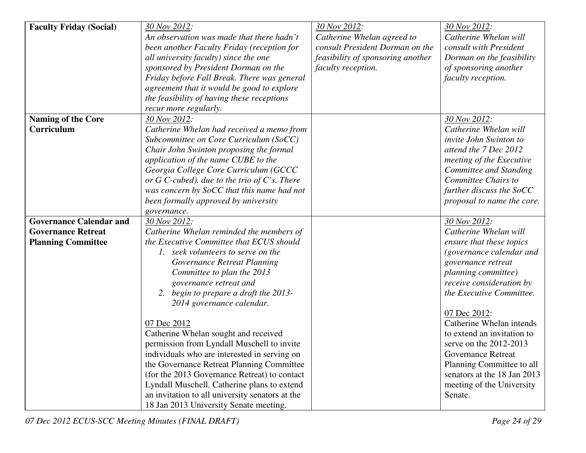| <b>Faculty Friday (Social)</b> | 30 Nov 2012:                                                                                                                                                                                                                          | 30 Nov 2012:                      | 30 Nov 2012:                                                                                     |
|--------------------------------|---------------------------------------------------------------------------------------------------------------------------------------------------------------------------------------------------------------------------------------|-----------------------------------|--------------------------------------------------------------------------------------------------|
|                                | An observation was made that there hadn't                                                                                                                                                                                             | Catherine Whelan agreed to        | Catherine Whelan will                                                                            |
|                                | been another Faculty Friday (reception for                                                                                                                                                                                            | consult President Dorman on the   | consult with President                                                                           |
|                                | all university faculty) since the one                                                                                                                                                                                                 | feasibility of sponsoring another | Dorman on the feasibility                                                                        |
|                                | sponsored by President Dorman on the                                                                                                                                                                                                  | faculty reception.                | of sponsoring another                                                                            |
|                                | Friday before Fall Break. There was general                                                                                                                                                                                           |                                   | faculty reception.                                                                               |
|                                | agreement that it would be good to explore                                                                                                                                                                                            |                                   |                                                                                                  |
|                                | the feasibility of having these receptions                                                                                                                                                                                            |                                   |                                                                                                  |
|                                | recur more regularly.                                                                                                                                                                                                                 |                                   |                                                                                                  |
| <b>Naming of the Core</b>      | 30 Nov 2012:                                                                                                                                                                                                                          |                                   | 30 Nov 2012:                                                                                     |
| Curriculum                     | Catherine Whelan had received a memo from                                                                                                                                                                                             |                                   | Catherine Whelan will                                                                            |
|                                | Subcommittee on Core Curriculum (SoCC)                                                                                                                                                                                                |                                   | invite John Swinton to                                                                           |
|                                | Chair John Swinton proposing the formal                                                                                                                                                                                               |                                   | attend the 7 Dec 2012                                                                            |
|                                | application of the name CUBE to the                                                                                                                                                                                                   |                                   | meeting of the Executive                                                                         |
|                                | Georgia College Core Curriculum (GCCC                                                                                                                                                                                                 |                                   | Committee and Standing                                                                           |
|                                | or $G$ C-cubed). due to the trio of $C$ 's. There                                                                                                                                                                                     |                                   | Committee Chairs to                                                                              |
|                                | was concern by SoCC that this name had not                                                                                                                                                                                            |                                   | further discuss the SoCC                                                                         |
|                                | been formally approved by university                                                                                                                                                                                                  |                                   | proposal to name the core.                                                                       |
|                                | governance.                                                                                                                                                                                                                           |                                   |                                                                                                  |
| <b>Governance Calendar and</b> | 30 Nov 2012:                                                                                                                                                                                                                          |                                   | 30 Nov 2012:                                                                                     |
| <b>Governance Retreat</b>      | Catherine Whelan reminded the members of                                                                                                                                                                                              |                                   | Catherine Whelan will                                                                            |
| <b>Planning Committee</b>      | the Executive Committee that ECUS should                                                                                                                                                                                              |                                   | ensure that these topics                                                                         |
|                                | 1. seek volunteers to serve on the                                                                                                                                                                                                    |                                   | (governance calendar and                                                                         |
|                                | Governance Retreat Planning                                                                                                                                                                                                           |                                   | governance retreat                                                                               |
|                                | Committee to plan the 2013                                                                                                                                                                                                            |                                   | planning committee)                                                                              |
|                                | governance retreat and                                                                                                                                                                                                                |                                   | receive consideration by                                                                         |
|                                | 2. begin to prepare a draft the 2013-                                                                                                                                                                                                 |                                   | the Executive Committee.                                                                         |
|                                | 2014 governance calendar.                                                                                                                                                                                                             |                                   |                                                                                                  |
|                                |                                                                                                                                                                                                                                       |                                   | 07 Dec 2012:                                                                                     |
|                                | 07 Dec 2012                                                                                                                                                                                                                           |                                   | Catherine Whelan intends                                                                         |
|                                | Catherine Whelan sought and received                                                                                                                                                                                                  |                                   | to extend an invitation to                                                                       |
|                                | permission from Lyndall Muschell to invite                                                                                                                                                                                            |                                   | serve on the $2012-2013$                                                                         |
|                                | individuals who are interested in serving on                                                                                                                                                                                          |                                   | <b>Governance Retreat</b>                                                                        |
|                                |                                                                                                                                                                                                                                       |                                   |                                                                                                  |
|                                |                                                                                                                                                                                                                                       |                                   |                                                                                                  |
|                                |                                                                                                                                                                                                                                       |                                   |                                                                                                  |
|                                |                                                                                                                                                                                                                                       |                                   |                                                                                                  |
|                                | the Governance Retreat Planning Committee<br>(for the 2013 Governance Retreat) to contact<br>Lyndall Muschell. Catherine plans to extend<br>an invitation to all university senators at the<br>18 Jan 2013 University Senate meeting. |                                   | Planning Committee to all<br>senators at the 18 Jan 2013<br>meeting of the University<br>Senate. |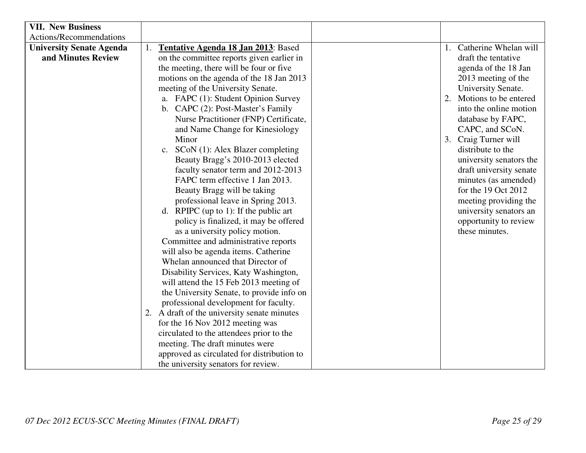| <b>VII. New Business</b>        |                                             |                             |
|---------------------------------|---------------------------------------------|-----------------------------|
| Actions/Recommendations         |                                             |                             |
| <b>University Senate Agenda</b> | Tentative Agenda 18 Jan 2013: Based         | 1. Catherine Whelan will    |
| and Minutes Review              | on the committee reports given earlier in   | draft the tentative         |
|                                 | the meeting, there will be four or five     | agenda of the 18 Jan        |
|                                 | motions on the agenda of the 18 Jan 2013    | 2013 meeting of the         |
|                                 | meeting of the University Senate.           | University Senate.          |
|                                 | a. FAPC (1): Student Opinion Survey         | Motions to be entered<br>2. |
|                                 | b. CAPC (2): Post-Master's Family           | into the online motion      |
|                                 | Nurse Practitioner (FNP) Certificate,       | database by FAPC,           |
|                                 | and Name Change for Kinesiology             | CAPC, and SCoN.             |
|                                 | Minor                                       | Craig Turner will<br>3.     |
|                                 | $SCoN(1)$ : Alex Blazer completing<br>c.    | distribute to the           |
|                                 | Beauty Bragg's 2010-2013 elected            | university senators the     |
|                                 | faculty senator term and 2012-2013          | draft university senate     |
|                                 | FAPC term effective 1 Jan 2013.             | minutes (as amended)        |
|                                 | Beauty Bragg will be taking                 | for the 19 Oct 2012         |
|                                 | professional leave in Spring 2013.          | meeting providing the       |
|                                 | d. RPIPC (up to 1): If the public art       | university senators an      |
|                                 | policy is finalized, it may be offered      | opportunity to review       |
|                                 | as a university policy motion.              | these minutes.              |
|                                 | Committee and administrative reports        |                             |
|                                 | will also be agenda items. Catherine        |                             |
|                                 | Whelan announced that Director of           |                             |
|                                 | Disability Services, Katy Washington,       |                             |
|                                 | will attend the 15 Feb 2013 meeting of      |                             |
|                                 | the University Senate, to provide info on   |                             |
|                                 | professional development for faculty.       |                             |
|                                 | 2. A draft of the university senate minutes |                             |
|                                 | for the 16 Nov 2012 meeting was             |                             |
|                                 | circulated to the attendees prior to the    |                             |
|                                 | meeting. The draft minutes were             |                             |
|                                 | approved as circulated for distribution to  |                             |
|                                 | the university senators for review.         |                             |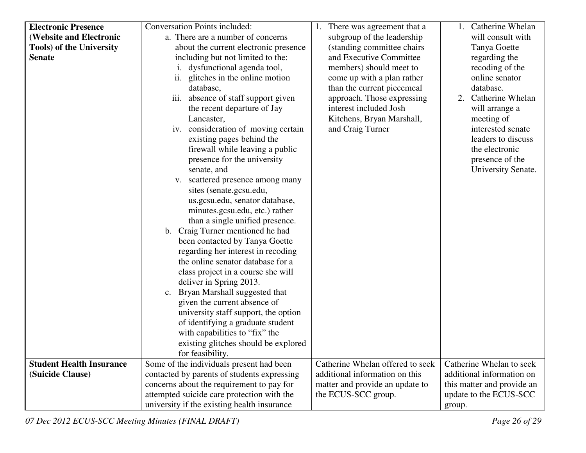| <b>Electronic Presence</b>      | <b>Conversation Points included:</b>        | 1. There was agreement that a    | 1. Catherine Whelan        |
|---------------------------------|---------------------------------------------|----------------------------------|----------------------------|
| <b>(Website and Electronic</b>  | a. There are a number of concerns           | subgroup of the leadership       | will consult with          |
| <b>Tools) of the University</b> | about the current electronic presence       | (standing committee chairs)      | Tanya Goette               |
| <b>Senate</b>                   | including but not limited to the:           | and Executive Committee          | regarding the              |
|                                 | i. dysfunctional agenda tool,               | members) should meet to          | recoding of the            |
|                                 | ii. glitches in the online motion           | come up with a plan rather       | online senator             |
|                                 | database,                                   | than the current piecemeal       | database.                  |
|                                 | iii. absence of staff support given         | approach. Those expressing       | Catherine Whelan<br>2.     |
|                                 | the recent departure of Jay                 | interest included Josh           | will arrange a             |
|                                 | Lancaster,                                  | Kitchens, Bryan Marshall,        | meeting of                 |
|                                 | iv. consideration of moving certain         | and Craig Turner                 | interested senate          |
|                                 | existing pages behind the                   |                                  | leaders to discuss         |
|                                 | firewall while leaving a public             |                                  | the electronic             |
|                                 | presence for the university                 |                                  | presence of the            |
|                                 | senate, and                                 |                                  | University Senate.         |
|                                 |                                             |                                  |                            |
|                                 | v. scattered presence among many            |                                  |                            |
|                                 | sites (senate.gcsu.edu,                     |                                  |                            |
|                                 | us.gcsu.edu, senator database,              |                                  |                            |
|                                 | minutes.gcsu.edu, etc.) rather              |                                  |                            |
|                                 | than a single unified presence.             |                                  |                            |
|                                 | b. Craig Turner mentioned he had            |                                  |                            |
|                                 | been contacted by Tanya Goette              |                                  |                            |
|                                 | regarding her interest in recoding          |                                  |                            |
|                                 | the online senator database for a           |                                  |                            |
|                                 | class project in a course she will          |                                  |                            |
|                                 | deliver in Spring 2013.                     |                                  |                            |
|                                 | c. Bryan Marshall suggested that            |                                  |                            |
|                                 | given the current absence of                |                                  |                            |
|                                 | university staff support, the option        |                                  |                            |
|                                 | of identifying a graduate student           |                                  |                            |
|                                 | with capabilities to "fix" the              |                                  |                            |
|                                 | existing glitches should be explored        |                                  |                            |
|                                 | for feasibility.                            |                                  |                            |
| <b>Student Health Insurance</b> | Some of the individuals present had been    | Catherine Whelan offered to seek | Catherine Whelan to seek   |
| (Suicide Clause)                | contacted by parents of students expressing | additional information on this   | additional information on  |
|                                 | concerns about the requirement to pay for   | matter and provide an update to  | this matter and provide an |
|                                 | attempted suicide care protection with the  | the ECUS-SCC group.              | update to the ECUS-SCC     |
|                                 | university if the existing health insurance |                                  | group.                     |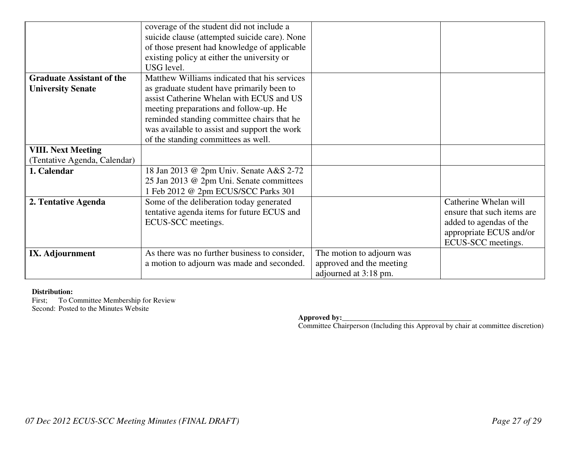|                                  | coverage of the student did not include a     |                           |                            |
|----------------------------------|-----------------------------------------------|---------------------------|----------------------------|
|                                  | suicide clause (attempted suicide care). None |                           |                            |
|                                  | of those present had knowledge of applicable  |                           |                            |
|                                  | existing policy at either the university or   |                           |                            |
|                                  | USG level.                                    |                           |                            |
| <b>Graduate Assistant of the</b> | Matthew Williams indicated that his services  |                           |                            |
| <b>University Senate</b>         | as graduate student have primarily been to    |                           |                            |
|                                  | assist Catherine Whelan with ECUS and US      |                           |                            |
|                                  | meeting preparations and follow-up. He        |                           |                            |
|                                  | reminded standing committee chairs that he    |                           |                            |
|                                  | was available to assist and support the work  |                           |                            |
|                                  | of the standing committees as well.           |                           |                            |
| <b>VIII. Next Meeting</b>        |                                               |                           |                            |
| (Tentative Agenda, Calendar)     |                                               |                           |                            |
| 1. Calendar                      | 18 Jan 2013 @ 2pm Univ. Senate A&S 2-72       |                           |                            |
|                                  | 25 Jan 2013 @ 2pm Uni. Senate committees      |                           |                            |
|                                  | 1 Feb 2012 @ 2pm ECUS/SCC Parks 301           |                           |                            |
| 2. Tentative Agenda              | Some of the deliberation today generated      |                           | Catherine Whelan will      |
|                                  | tentative agenda items for future ECUS and    |                           | ensure that such items are |
|                                  | ECUS-SCC meetings.                            |                           | added to agendas of the    |
|                                  |                                               |                           | appropriate ECUS and/or    |
|                                  |                                               |                           | ECUS-SCC meetings.         |
| IX. Adjournment                  | As there was no further business to consider, | The motion to adjourn was |                            |
|                                  | a motion to adjourn was made and seconded.    | approved and the meeting  |                            |
|                                  |                                               | adjourned at 3:18 pm.     |                            |

### **Distribution:**

First; To Committee Membership for Review Second: Posted to the Minutes Website

**Approved by:**<br> **Committee Chairperson (Including this Approval by chair at committee discretion)**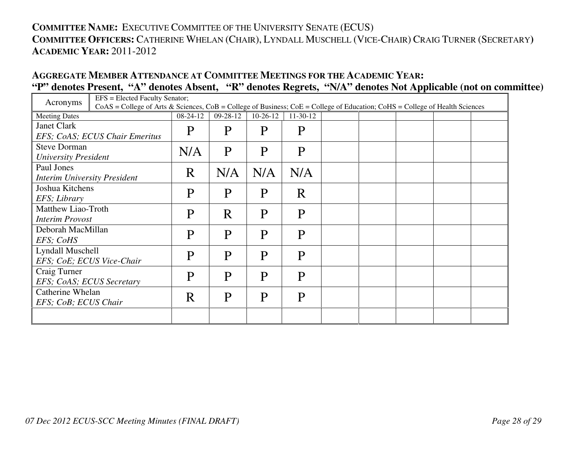# **COMMITTEE NAME:** <sup>E</sup>XECUTIVE COMMITTEE OF THE UNIVERSITY SENATE (ECUS) **COMMITTEE OFFICERS:** <sup>C</sup>ATHERINE WHELAN (CHAIR), <sup>L</sup>YNDALL MUSCHELL (VICE-CHAIR) <sup>C</sup>RAIG TURNER (SECRETARY**) ACADEMIC YEAR:** 2011-2012

## **AGGREGATE MEMBER ATTENDANCE AT COMMITTEE MEETINGS FOR THE ACADEMIC YEAR: "P" denotes Present, "A" denotes Absent, "R" denotes Regrets, "N/A" denotes Not Applicable (not on committee)**

| Acronyms                            |                                                                                                                                     | EFS = Elected Faculty Senator; |                |            |            |  |  |  |  |
|-------------------------------------|-------------------------------------------------------------------------------------------------------------------------------------|--------------------------------|----------------|------------|------------|--|--|--|--|
|                                     | $CoAS = College$ of Arts & Sciences, $CoB = College$ of Business; $CoE = College$ of Education; $CoHS = College$ of Health Sciences |                                |                |            |            |  |  |  |  |
| <b>Meeting Dates</b>                |                                                                                                                                     | $08-24-12$                     | $09 - 28 - 12$ | $10-26-12$ | $11-30-12$ |  |  |  |  |
| <b>Janet Clark</b>                  |                                                                                                                                     | P                              | P              | P          | P          |  |  |  |  |
|                                     | EFS; CoAS; ECUS Chair Emeritus                                                                                                      |                                |                |            |            |  |  |  |  |
| <b>Steve Dorman</b>                 |                                                                                                                                     | N/A                            | P              | P          | P          |  |  |  |  |
| <b>University President</b>         |                                                                                                                                     |                                |                |            |            |  |  |  |  |
| Paul Jones                          |                                                                                                                                     | R                              | N/A            | N/A        | N/A        |  |  |  |  |
| <b>Interim University President</b> |                                                                                                                                     |                                |                |            |            |  |  |  |  |
| Joshua Kitchens                     |                                                                                                                                     | P                              | P              | P          | R          |  |  |  |  |
| EFS; Library                        |                                                                                                                                     |                                |                |            |            |  |  |  |  |
| Matthew Liao-Troth<br>P             |                                                                                                                                     | R                              | P              | P          |            |  |  |  |  |
|                                     | <b>Interim Provost</b>                                                                                                              |                                |                |            |            |  |  |  |  |
| Deborah MacMillan                   |                                                                                                                                     | P                              | P              | P          | P          |  |  |  |  |
| EFS; CoHS                           |                                                                                                                                     |                                |                |            |            |  |  |  |  |
| Lyndall Muschell                    |                                                                                                                                     | P                              | P              | P          | P          |  |  |  |  |
|                                     | EFS; CoE; ECUS Vice-Chair                                                                                                           |                                |                |            |            |  |  |  |  |
| Craig Turner                        |                                                                                                                                     | P                              | P              | P          | P          |  |  |  |  |
| EFS; CoAS; ECUS Secretary           |                                                                                                                                     |                                |                |            |            |  |  |  |  |
| Catherine Whelan                    |                                                                                                                                     | R                              | P              | P          | P          |  |  |  |  |
| EFS; CoB; ECUS Chair                |                                                                                                                                     |                                |                |            |            |  |  |  |  |
|                                     |                                                                                                                                     |                                |                |            |            |  |  |  |  |
|                                     |                                                                                                                                     |                                |                |            |            |  |  |  |  |